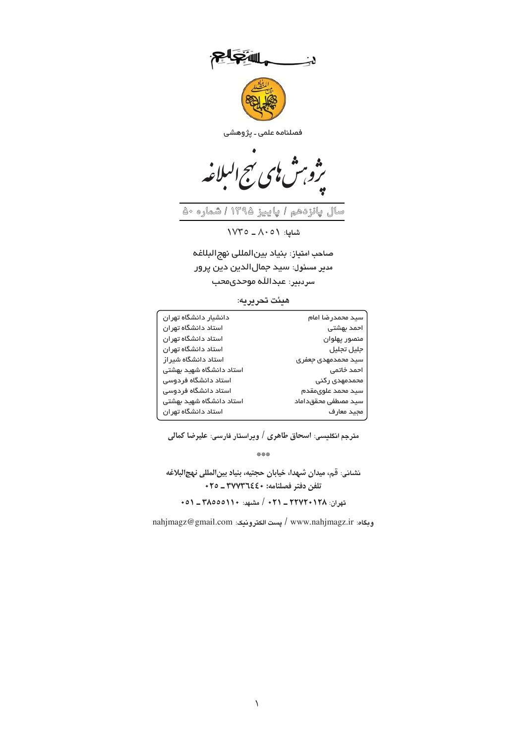د:

فصلنامہ علمی ۔ پژوهشی

سال پائزدهم I پاییز ۱۳۹۵ قصاره ۵۰

 $\sqrt{V} = A \cdot 0$  شایا:  $\sqrt{V}$ 

صاحب امتياز: بنياد بين المللى نهج البلاغه مدير مسئول: سيد جمال|لدين دين پرور سردبير: عبدالله موحدي محب

## هيئت تحريريه:

| دانشيار دانشگاه تهران    | سيد محمدرضا امام    |
|--------------------------|---------------------|
| استاد دانشگاه تهران      | احمد بهشتی          |
| استاد دانشگاه تهر ان     | منصور يهلوان        |
| استاد دانشگاه تهر ان     | جليل تجليل          |
| استاد دانشگاه شیر از     | سيد محمدمهدى جعفرى  |
| استاد دانشگاه شهید بهشتی | احمد خاتمى          |
| استاد دانشگاه فردوسی     | محمدمهدی رکنی       |
| استاد دانشگاه فردوسی     | سيد محمد علوىمقدم   |
| استاد دانشگاه شهید بهشتی | سيد مصطفى محققداماد |
| استاد دانشگاه تهران      | مجيد معارف          |

مترجم انگلیسی: اسحاق طاهری / ویراستار فارسی: علیرضا کمالی

\*\*\*

نشاني: قم، ميدان شهدا، خيابان حجتيه، بنياد بين المللي نهج البلاغه تلفن دفتر فصلنامه: ٢٧٧٣٦٤٤٠ ـ ٢٥٠

تهران: ٢٢٧٢٠١٢٨ ـ ٢٦١ - ٢٢٧٢ مشهد: ١٥٥٥١١٠ ـ ٥١

nahjmagz@gmail.com / پست الكترونيك: nahjmagz@gmail.com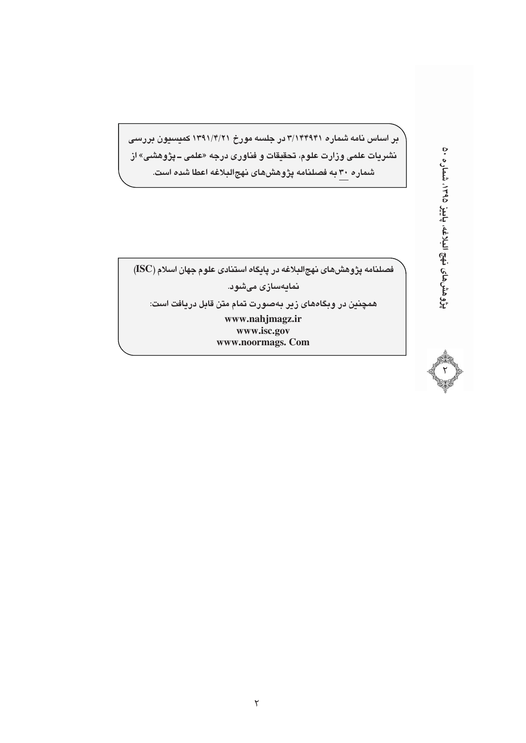بر اساس نامه شماره ۳/۱۴۴۹۴۱ در جلسه مورخ ۱۳۹۱/۴/۲۱ کمیسیون بررسی نشریات علمی وزارت علوم، تحقیقات و فناوری درجه «علمی ــ پژوهشی» از .<br>شماره ۳۰ به فصلنامه پژوهشهای نهجالبلاغه اعطا ش*ده* است.

فصلنامه پژوهش های نهج البلاغه در پایگاه استنادی علوم جهان اسلام (ISC)

نمايەسازى مىشود.

همچنین در وبگاههای زیر بهصورت تمام متن قابل دریافت است:

www.nahjmagz.ir www.isc.gov www.noormags. Com

پژوهشهای نهج البلاغه، پاییز ۱۳۹۵، شماره ۵۰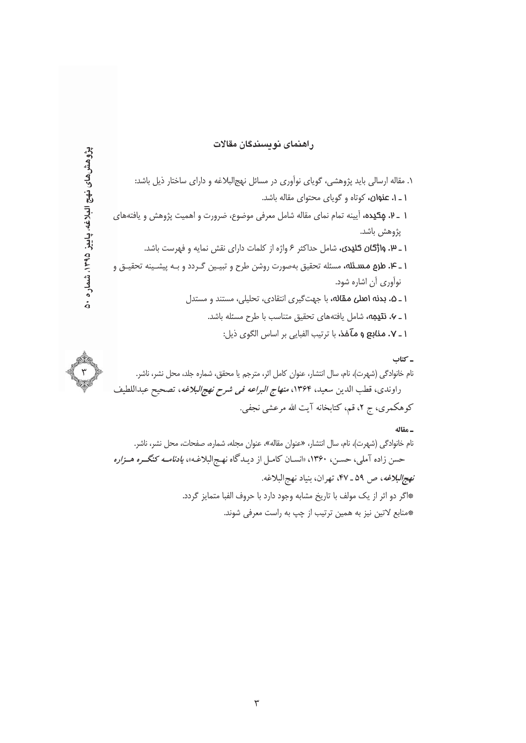## راهنمای نویسندگان مقالات

۱. مقاله ارسالی باید پژوهشی، گویای نوآوری در مسائل نهجالبلاغه و دارای ساختار ذیل باشد: **۱ ـ ۱. عنوان،** كوتاه و گوياى محتواى مقاله باشد. ۱ ـ ۷. **پِکیده،** آیینه تمام نمای مقاله شامل معرفی موضوع، ضرورت و اهمیت پژوهش و یافتههای يژوهش باشد. **۱ \_ ۱۷. واژگان کلیدی،** شامل حداکثر ۶ واژه از کلمات دارای نقش نمایه و فهرست باشد. **۱ ـ ۴. طرم مسئله،** مسئله تحقيق بهصورت روشن طرح و تبيـين گـردد و بـه پيشـينه تحقيـق و نوآوري آن اشاره شود. **۱ ـ ۵. بدنه اصلی مقاله،** با جهتگیری انتقادی، تحلیلی، مستند و مستدل **۱ ـ ۷. نتیمه،** شامل یافتههای تحقیق متناسب با طرح مسئله باشد. **۱ ـ ۷. منابع و مآخذ،** با ترتیب الفبایی بر اساس الگوی ذیل: ۔ کتاب نام خانوادگی (شهرت)، نام، سال انتشار، عنوان کامل اثر، مترجم یا محقق، شماره جلد، محل نشر، ناشر.

پژوهش های نهچ الدادغه، پاییز ۱۳۹۵، شماره ۵۰

راوندي، قطب الدين سعيد، ١٣۶۴، *منهاج البراعه في شرح نهج البلاغه*، تصحيح عبداللطيف کوهکمری، ج ۲، قم، کتابخانه آیت الله مرعشی نجفی.

## ـ مقاله

نام خانوادگی (شهرت)، نام، سال انتشار، «عنوان مقاله»، عنوان مجله، شماره، صفحات، محل نشر، ناشر. حسن زاده آملی، حسـن، ۱۳۶۰، «انســان کامـل از دیــدگاه نهـج|لبلاغـه»، *یادنامــه کنگــره هــزاره نهج البلاغه*، ص ۵۹ ـ ۴۷، تهران، بنياد نهج البلاغه. \*اگر دو اثر از یک مولف با تاریخ مشابه وجود دارد با حروف الفبا متمایز گردد. \*منابع لاتین نیز به همین ترتیب از چپ به راست معرفی شوند.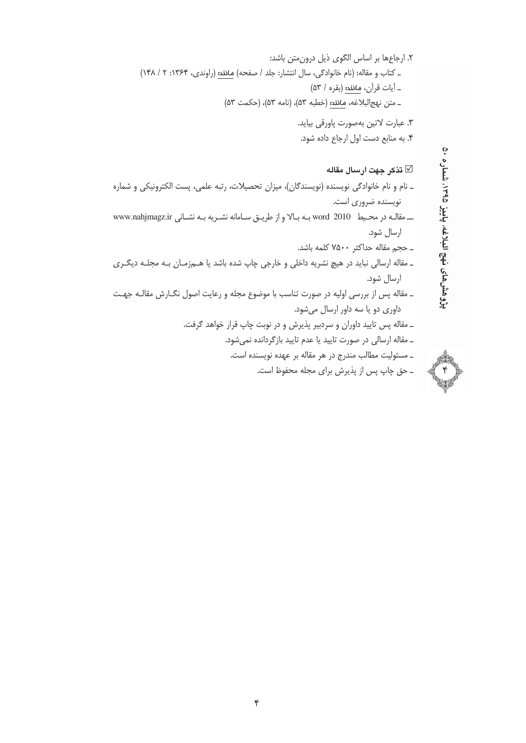$\check{\tau}$